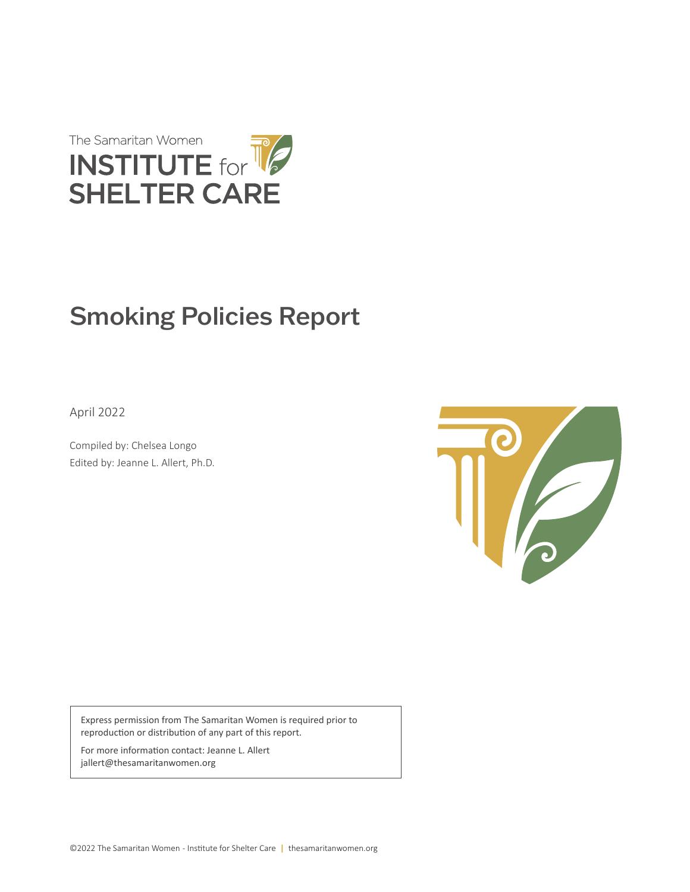

# Smoking Policies Report

April 2022

Compiled by: Chelsea Longo Edited by: Jeanne L. Allert, Ph.D.



Express permission from The Samaritan Women is required prior to reproduction or distribution of any part of this report.

For more information contact: Jeanne L. Allert jallert@thesamaritanwomen.org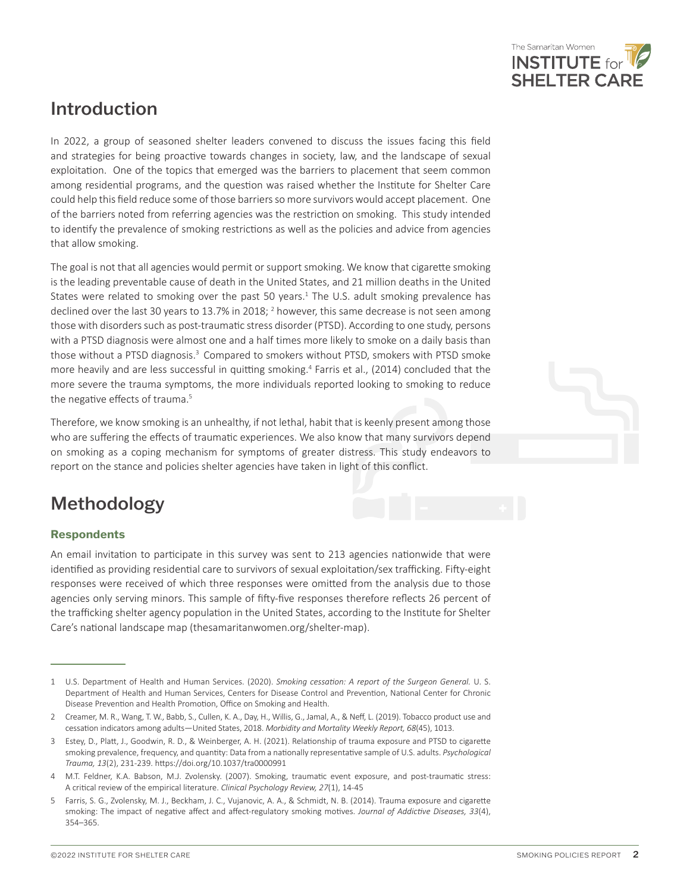

## Introduction

In 2022, a group of seasoned shelter leaders convened to discuss the issues facing this field and strategies for being proactive towards changes in society, law, and the landscape of sexual exploitation. One of the topics that emerged was the barriers to placement that seem common among residential programs, and the question was raised whether the Institute for Shelter Care could help this field reduce some of those barriers so more survivors would accept placement. One of the barriers noted from referring agencies was the restriction on smoking. This study intended to identify the prevalence of smoking restrictions as well as the policies and advice from agencies that allow smoking.

The goal is not that all agencies would permit or support smoking. We know that cigarette smoking is the leading preventable cause of death in the United States, and 21 million deaths in the United States were related to smoking over the past 50 years.<sup>1</sup> The U.S. adult smoking prevalence has declined over the last 30 years to 13.7% in 2018; <sup>2</sup> however, this same decrease is not seen among those with disorders such as post-traumatic stress disorder (PTSD). According to one study, persons with a PTSD diagnosis were almost one and a half times more likely to smoke on a daily basis than those without a PTSD diagnosis.<sup>3</sup> Compared to smokers without PTSD, smokers with PTSD smoke more heavily and are less successful in quitting smoking.<sup>4</sup> Farris et al., (2014) concluded that the more severe the trauma symptoms, the more individuals reported looking to smoking to reduce the negative effects of trauma.<sup>5</sup>

Therefore, we know smoking is an unhealthy, if not lethal, habit that is keenly present among those who are suffering the effects of traumatic experiences. We also know that many survivors depend on smoking as a coping mechanism for symptoms of greater distress. This study endeavors to report on the stance and policies shelter agencies have taken in light of this conflict.

# Methodology

#### **Respondents**

An email invitation to participate in this survey was sent to 213 agencies nationwide that were identified as providing residential care to survivors of sexual exploitation/sex trafficking. Fifty-eight responses were received of which three responses were omitted from the analysis due to those agencies only serving minors. This sample of fifty-five responses therefore reflects 26 percent of the trafficking shelter agency population in the United States, according to the Institute for Shelter Care's national landscape map (thesamaritanwomen.org/shelter-map).

<sup>1</sup> U.S. Department of Health and Human Services. (2020). *Smoking cessation: A report of the Surgeon General.* U. S. Department of Health and Human Services, Centers for Disease Control and Prevention, National Center for Chronic Disease Prevention and Health Promotion, Office on Smoking and Health.

<sup>2</sup> Creamer, M. R., Wang, T. W., Babb, S., Cullen, K. A., Day, H., Willis, G., Jamal, A., & Neff, L. (2019). Tobacco product use and cessation indicators among adults—United States, 2018. *Morbidity and Mortality Weekly Report, 68*(45), 1013.

<sup>3</sup> Estey, D., Platt, J., Goodwin, R. D., & Weinberger, A. H. (2021). Relationship of trauma exposure and PTSD to cigarette smoking prevalence, frequency, and quantity: Data from a nationally representative sample of U.S. adults. *Psychological Trauma, 13*(2), 231-239. https://doi.org/10.1037/tra0000991

<sup>4</sup> M.T. Feldner, K.A. Babson, M.J. Zvolensky. (2007). Smoking, traumatic event exposure, and post-traumatic stress: A critical review of the empirical literature. *Clinical Psychology Review, 27*(1), 14-45

<sup>5</sup> Farris, S. G., Zvolensky, M. J., Beckham, J. C., Vujanovic, A. A., & Schmidt, N. B. (2014). Trauma exposure and cigarette smoking: The impact of negative affect and affect-regulatory smoking motives. *Journal of Addictive Diseases, 33*(4), 354–365.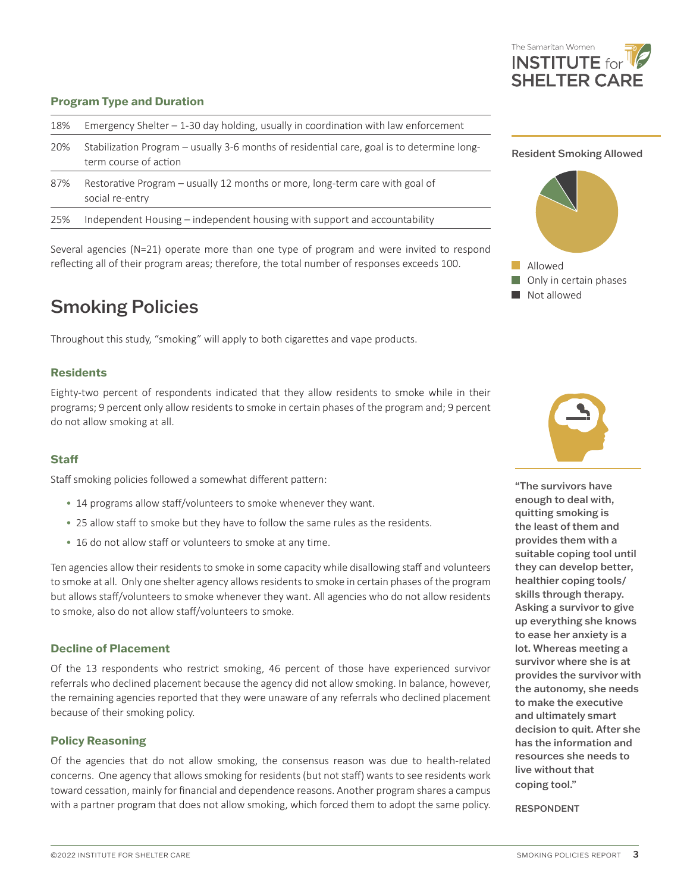

#### **Program Type and Duration**

| 18% | Emergency Shelter $-1$ -30 day holding, usually in coordination with law enforcement                                |   |
|-----|---------------------------------------------------------------------------------------------------------------------|---|
| 20% | Stabilization Program - usually 3-6 months of residential care, goal is to determine long-<br>term course of action | R |
| 87% | Restorative Program - usually 12 months or more, long-term care with goal of<br>social re-entry                     |   |
| 25% | Independent Housing – independent housing with support and accountability                                           |   |
|     |                                                                                                                     |   |

Several agencies (N=21) operate more than one type of program and were invited to respond reflecting all of their program areas; therefore, the total number of responses exceeds 100.

### Smoking Policies

Throughout this study, "smoking" will apply to both cigarettes and vape products.

#### **Residents**

Eighty-two percent of respondents indicated that they allow residents to smoke while in their programs; 9 percent only allow residents to smoke in certain phases of the program and; 9 percent do not allow smoking at all.

#### **Staff**

Staff smoking policies followed a somewhat different pattern:

- 14 programs allow staff/volunteers to smoke whenever they want.
- 25 allow staff to smoke but they have to follow the same rules as the residents.
- 16 do not allow staff or volunteers to smoke at any time.

Ten agencies allow their residents to smoke in some capacity while disallowing staff and volunteers to smoke at all. Only one shelter agency allows residents to smoke in certain phases of the program but allows staff/volunteers to smoke whenever they want. All agencies who do not allow residents to smoke, also do not allow staff/volunteers to smoke.

#### **Decline of Placement**

Of the 13 respondents who restrict smoking, 46 percent of those have experienced survivor referrals who declined placement because the agency did not allow smoking. In balance, however, the remaining agencies reported that they were unaware of any referrals who declined placement because of their smoking policy.

#### **Policy Reasoning**

Of the agencies that do not allow smoking, the consensus reason was due to health-related concerns. One agency that allows smoking for residents (but not staff) wants to see residents work toward cessation, mainly for financial and dependence reasons. Another program shares a campus with a partner program that does not allow smoking, which forced them to adopt the same policy.







"The survivors have enough to deal with, quitting smoking is the least of them and provides them with a suitable coping tool until they can develop better, healthier coping tools/ skills through therapy. Asking a survivor to give up everything she knows to ease her anxiety is a lot. Whereas meeting a survivor where she is at provides the survivor with the autonomy, she needs to make the executive and ultimately smart decision to quit. After she has the information and resources she needs to live without that coping tool."

RESPONDENT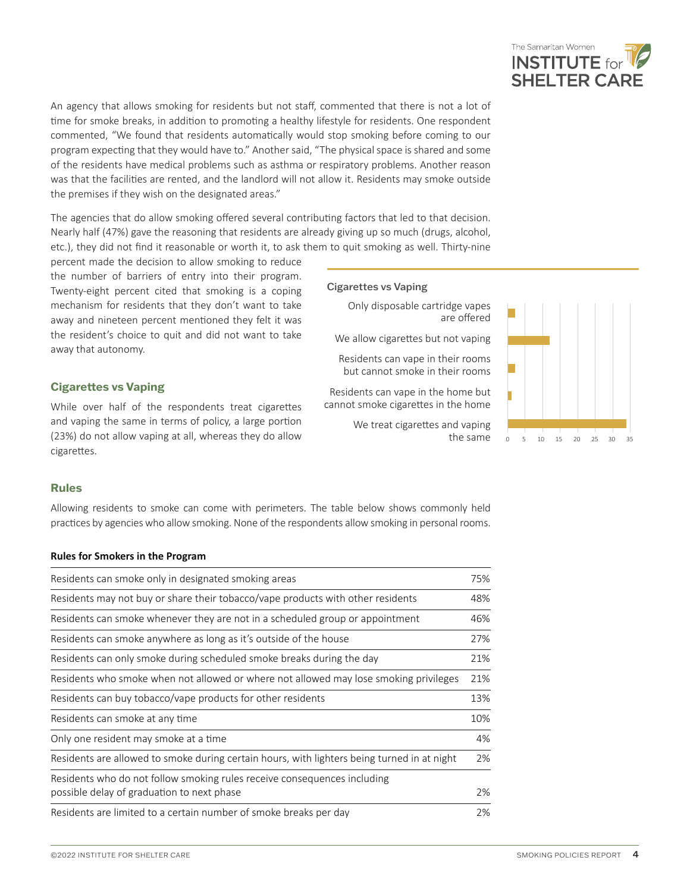

An agency that allows smoking for residents but not staff, commented that there is not a lot of time for smoke breaks, in addition to promoting a healthy lifestyle for residents. One respondent commented, "We found that residents automatically would stop smoking before coming to our program expecting that they would have to." Another said, "The physical space is shared and some of the residents have medical problems such as asthma or respiratory problems. Another reason was that the facilities are rented, and the landlord will not allow it. Residents may smoke outside the premises if they wish on the designated areas."

The agencies that do allow smoking offered several contributing factors that led to that decision. Nearly half (47%) gave the reasoning that residents are already giving up so much (drugs, alcohol, etc.), they did not find it reasonable or worth it, to ask them to quit smoking as well. Thirty-nine

percent made the decision to allow smoking to reduce the number of barriers of entry into their program. Twenty-eight percent cited that smoking is a coping mechanism for residents that they don't want to take away and nineteen percent mentioned they felt it was the resident's choice to quit and did not want to take away that autonomy.

#### **Cigarettes vs Vaping**

While over half of the respondents treat cigarettes and vaping the same in terms of policy, a large portion (23%) do not allow vaping at all, whereas they do allow cigarettes.

#### Cigarettes vs Vaping

Only disposable cartridge vapes are offered

We allow cigarettes but not vaping

Residents can vape in their rooms but cannot smoke in their rooms

Residents can vape in the home but cannot smoke cigarettes in the home

We treat cigarettes and vaping



#### **Rules**

Allowing residents to smoke can come with perimeters. The table below shows commonly held practices by agencies who allow smoking. None of the respondents allow smoking in personal rooms.

#### **Rules for Smokers in the Program**

| Residents can smoke only in designated smoking areas                                                                   |     |
|------------------------------------------------------------------------------------------------------------------------|-----|
| Residents may not buy or share their tobacco/vape products with other residents                                        | 48% |
| Residents can smoke whenever they are not in a scheduled group or appointment                                          | 46% |
| Residents can smoke anywhere as long as it's outside of the house                                                      | 27% |
| Residents can only smoke during scheduled smoke breaks during the day                                                  | 21% |
| Residents who smoke when not allowed or where not allowed may lose smoking privileges                                  | 21% |
| Residents can buy tobacco/vape products for other residents                                                            | 13% |
| Residents can smoke at any time                                                                                        | 10% |
| Only one resident may smoke at a time                                                                                  | 4%  |
| Residents are allowed to smoke during certain hours, with lighters being turned in at night                            | 2%  |
| Residents who do not follow smoking rules receive consequences including<br>possible delay of graduation to next phase | 2%  |
| Residents are limited to a certain number of smoke breaks per day                                                      | 2%  |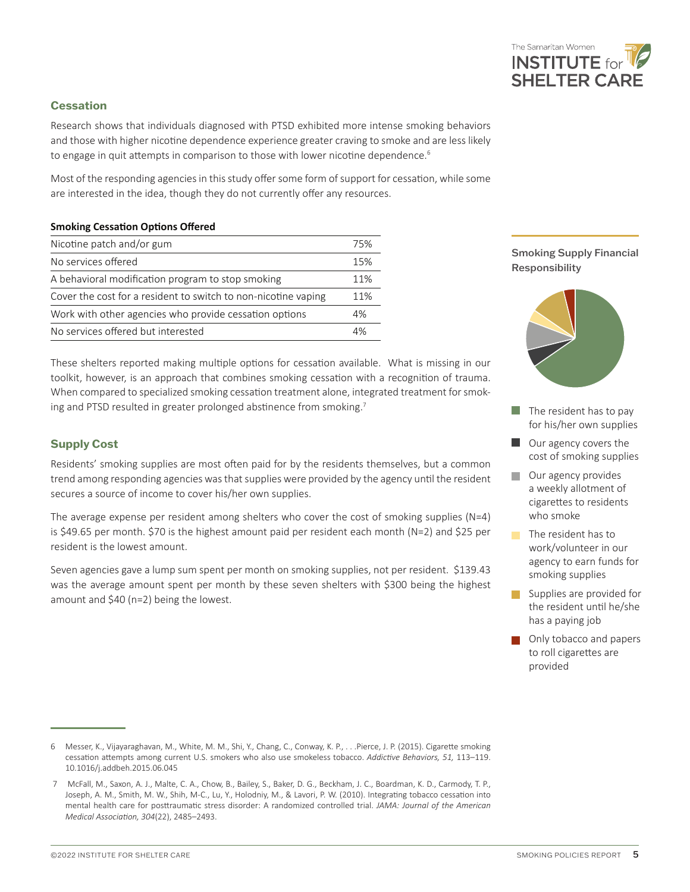

#### **Cessation**

Research shows that individuals diagnosed with PTSD exhibited more intense smoking behaviors and those with higher nicotine dependence experience greater craving to smoke and are less likely to engage in quit attempts in comparison to those with lower nicotine dependence.<sup>6</sup>

Most of the responding agencies in this study offer some form of support for cessation, while some are interested in the idea, though they do not currently offer any resources.

#### **Smoking Cessation Options Offered**

| Nicotine patch and/or gum                                      |  |
|----------------------------------------------------------------|--|
| No services offered                                            |  |
| A behavioral modification program to stop smoking              |  |
| Cover the cost for a resident to switch to non-nicotine vaping |  |
| Work with other agencies who provide cessation options         |  |
| No services offered but interested                             |  |

These shelters reported making multiple options for cessation available. What is missing in our toolkit, however, is an approach that combines smoking cessation with a recognition of trauma. When compared to specialized smoking cessation treatment alone, integrated treatment for smoking and PTSD resulted in greater prolonged abstinence from smoking.<sup>7</sup>

#### **Supply Cost**

Residents' smoking supplies are most often paid for by the residents themselves, but a common trend among responding agencies was that supplies were provided by the agency until the resident secures a source of income to cover his/her own supplies.

The average expense per resident among shelters who cover the cost of smoking supplies  $(N=4)$ is \$49.65 per month. \$70 is the highest amount paid per resident each month (N=2) and \$25 per resident is the lowest amount.

Seven agencies gave a lump sum spent per month on smoking supplies, not per resident. \$139.43 was the average amount spent per month by these seven shelters with \$300 being the highest amount and \$40 (n=2) being the lowest.





- $\blacksquare$  The resident has to pay for his/her own supplies
- Our agency covers the cost of smoking supplies
- **Our agency provides** a weekly allotment of cigarettes to residents who smoke
- $\blacksquare$  The resident has to work/volunteer in our agency to earn funds for smoking supplies
- Supplies are provided for the resident until he/she has a paying job
- **Only tobacco and papers** to roll cigarettes are provided

<sup>6</sup> Messer, K., Vijayaraghavan, M., White, M. M., Shi, Y., Chang, C., Conway, K. P., . . .Pierce, J. P. (2015). Cigarette smoking cessation attempts among current U.S. smokers who also use smokeless tobacco. *Addictive Behaviors, 51,* 113–119. 10.1016/j.addbeh.2015.06.045

 <sup>7</sup> McFall, M., Saxon, A. J., Malte, C. A., Chow, B., Bailey, S., Baker, D. G., Beckham, J. C., Boardman, K. D., Carmody, T. P., Joseph, A. M., Smith, M. W., Shih, M-C., Lu, Y., Holodniy, M., & Lavori, P. W. (2010). Integrating tobacco cessation into mental health care for posttraumatic stress disorder: A randomized controlled trial. *JAMA: Journal of the American Medical Association, 304*(22), 2485–2493.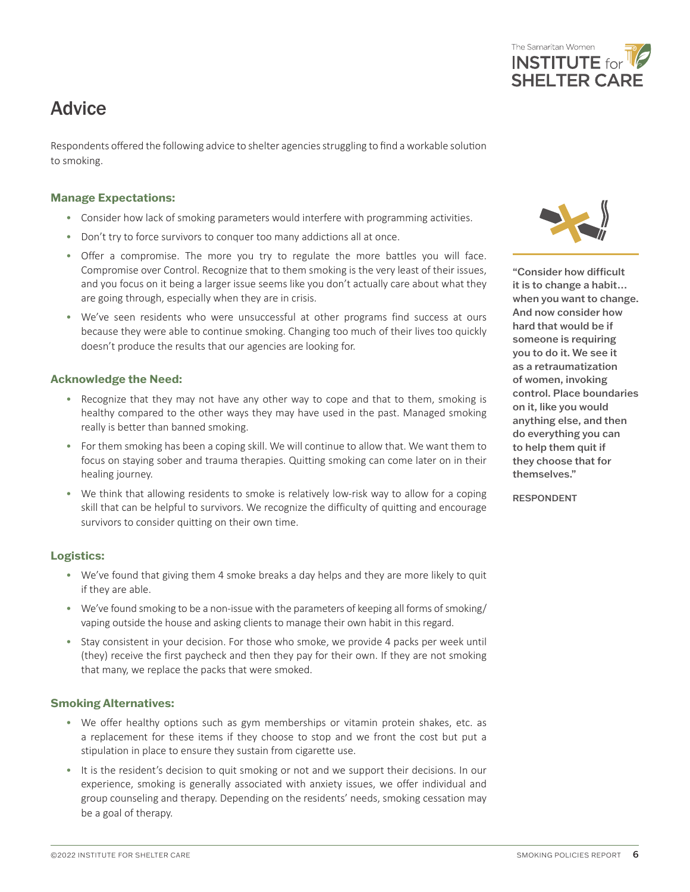### **Advice**

Respondents offered the following advice to shelter agencies struggling to find a workable solution to smoking.

#### **Manage Expectations:**

- Consider how lack of smoking parameters would interfere with programming activities.
- Don't try to force survivors to conquer too many addictions all at once.
- Offer a compromise. The more you try to regulate the more battles you will face. Compromise over Control. Recognize that to them smoking is the very least of their issues, and you focus on it being a larger issue seems like you don't actually care about what they are going through, especially when they are in crisis.
- We've seen residents who were unsuccessful at other programs find success at ours because they were able to continue smoking. Changing too much of their lives too quickly doesn't produce the results that our agencies are looking for.

#### **Acknowledge the Need:**

- Recognize that they may not have any other way to cope and that to them, smoking is healthy compared to the other ways they may have used in the past. Managed smoking really is better than banned smoking.
- For them smoking has been a coping skill. We will continue to allow that. We want them to focus on staying sober and trauma therapies. Quitting smoking can come later on in their healing journey.
- We think that allowing residents to smoke is relatively low-risk way to allow for a coping skill that can be helpful to survivors. We recognize the difficulty of quitting and encourage survivors to consider quitting on their own time.

#### **Logistics:**

- We've found that giving them 4 smoke breaks a day helps and they are more likely to quit if they are able.
- We've found smoking to be a non-issue with the parameters of keeping all forms of smoking/ vaping outside the house and asking clients to manage their own habit in this regard.
- Stay consistent in your decision. For those who smoke, we provide 4 packs per week until (they) receive the first paycheck and then they pay for their own. If they are not smoking that many, we replace the packs that were smoked.

#### **Smoking Alternatives:**

- We offer healthy options such as gym memberships or vitamin protein shakes, etc. as a replacement for these items if they choose to stop and we front the cost but put a stipulation in place to ensure they sustain from cigarette use.
- It is the resident's decision to quit smoking or not and we support their decisions. In our experience, smoking is generally associated with anxiety issues, we offer individual and group counseling and therapy. Depending on the residents' needs, smoking cessation may be a goal of therapy.

"Consider how difficult it is to change a habit… when you want to change. And now consider how hard that would be if someone is requiring you to do it. We see it as a retraumatization of women, invoking control. Place boundaries on it, like you would anything else, and then do everything you can to help them quit if they choose that for themselves."

RESPONDENT